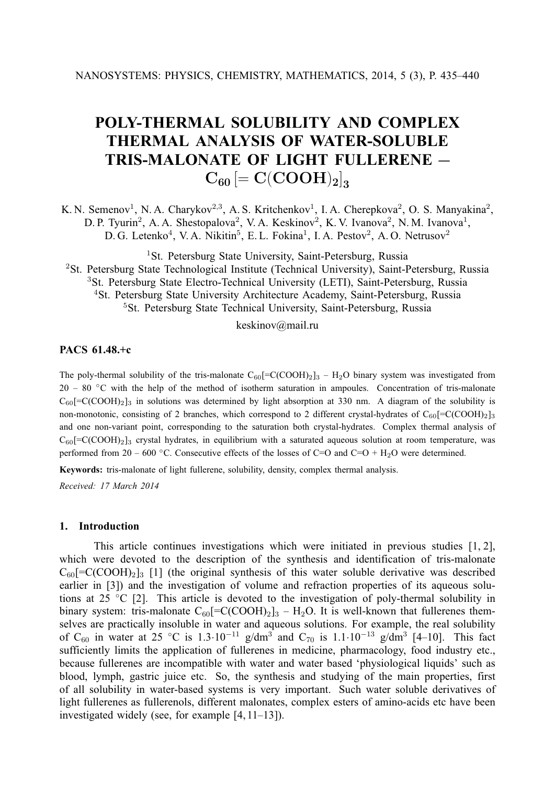# **POLY-THERMAL SOLUBILITY AND COMPLEX THERMAL ANALYSIS OF WATER-SOLUBLE TRIS-MALONATE OF LIGHT FULLERENE —**  $C_{60}$   $\left[ = \text{C}(\text{COOH})_{2} \right]_{3}$

K. N. Semenov<sup>1</sup>, N. A. Charykov<sup>2,3</sup>, A. S. Kritchenkov<sup>1</sup>, I. A. Cherepkova<sup>2</sup>, O. S. Manyakina<sup>2</sup>, D. P. Tyurin<sup>2</sup>, A. A. Shestopalova<sup>2</sup>, V. A. Keskinov<sup>2</sup>, K. V. Ivanova<sup>2</sup>, N. M. Ivanova<sup>1</sup>, D. G. Letenko<sup>4</sup>, V. A. Nikitin<sup>5</sup>, E. L. Fokina<sup>1</sup>, I. A. Pestov<sup>2</sup>, A. O. Netrusov<sup>2</sup>

<sup>1</sup>St. Petersburg State University, Saint-Petersburg, Russia <sup>2</sup>St. Petersburg State Technological Institute (Technical University), Saint-Petersburg, Russia <sup>3</sup>St. Petersburg State Electro-Technical University (LETI), Saint-Petersburg, Russia <sup>4</sup>St. Petersburg State University Architecture Academy, Saint-Petersburg, Russia <sup>5</sup>St. Petersburg State Technical University, Saint-Petersburg, Russia

keskinov@mail.ru

## **PACS 61.48.+c**

The poly-thermal solubility of the tris-malonate  $C_{60}$ [=C(COOH)<sub>2</sub>]<sub>3</sub> – H<sub>2</sub>O binary system was investigated from 20 – 80 ◦C with the help of the method of isotherm saturation in ampoules. Concentration of tris-malonate  $C_{60}$ [=C(COOH)<sub>2</sub>]<sub>3</sub> in solutions was determined by light absorption at 330 nm. A diagram of the solubility is non-monotonic, consisting of 2 branches, which correspond to 2 different crystal-hydrates of  $C_{60}$ [=C(COOH)<sub>2</sub>]<sub>3</sub> and one non-variant point, corresponding to the saturation both crystal-hydrates. Complex thermal analysis of  $C_{60}$ [=C(COOH)<sub>2</sub>]<sub>3</sub> crystal hydrates, in equilibrium with a saturated aqueous solution at room temperature, was performed from 20 – 600 °C. Consecutive effects of the losses of C=O and C=O + H<sub>2</sub>O were determined.

**Keywords:** tris-malonate of light fullerene, solubility, density, complex thermal analysis.

*Received: 17 March 2014*

## **1. Introduction**

This article continues investigations which were initiated in previous studies [1, 2], which were devoted to the description of the synthesis and identification of tris-malonate  $C_{60}$ [=C(COOH)<sub>2</sub>]<sub>3</sub> [1] (the original synthesis of this water soluble derivative was described earlier in [3]) and the investigation of volume and refraction properties of its aqueous solutions at 25 ◦C [2]. This article is devoted to the investigation of poly-thermal solubility in binary system: tris-malonate  $C_{60}$ [=C(COOH)<sub>2</sub>]<sub>3</sub> – H<sub>2</sub>O. It is well-known that fullerenes themselves are practically insoluble in water and aqueous solutions. For example, the real solubility of C<sub>60</sub> in water at 25 °C is 1.3·10<sup>-11</sup> g/dm<sup>3</sup> and C<sub>70</sub> is 1.1·10<sup>-13</sup> g/dm<sup>3</sup> [4-10]. This fact sufficiently limits the application of fullerenes in medicine, pharmacology, food industry etc., because fullerenes are incompatible with water and water based 'physiological liquids' such as blood, lymph, gastric juice etc. So, the synthesis and studying of the main properties, first of all solubility in water-based systems is very important. Such water soluble derivatives of light fullerenes as fullerenols, different malonates, complex esters of amino-acids etc have been investigated widely (see, for example [4, 11–13]).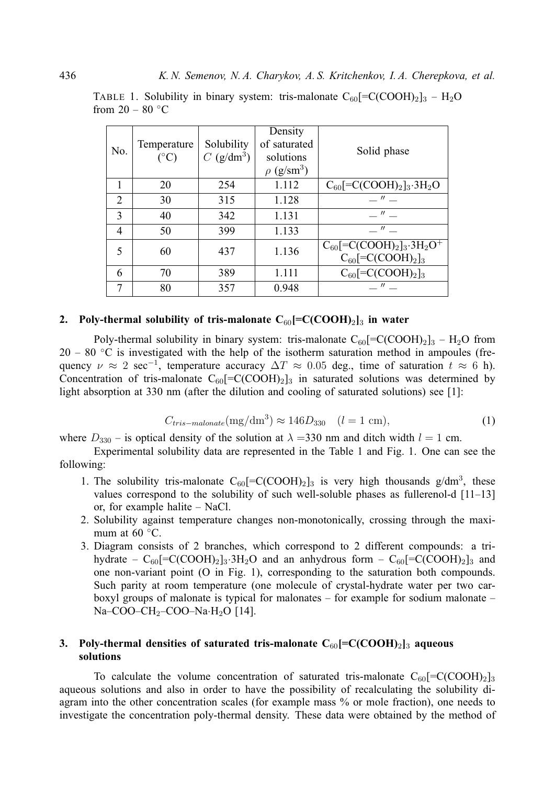| No.                         | Temperature<br>$(^{\circ}C)$ | Solubility<br>$C$ (g/dm <sup>3</sup> ) | Density<br>of saturated<br>solutions<br>$\rho$ (g/sm <sup>3</sup> ) | Solid phase                                                                                                                      |
|-----------------------------|------------------------------|----------------------------------------|---------------------------------------------------------------------|----------------------------------------------------------------------------------------------------------------------------------|
|                             | 20                           | 254                                    | 1.112                                                               | $C_{60}$ [=C(COOH) <sub>2</sub> ] <sub>3</sub> .3H <sub>2</sub> O                                                                |
| $\mathcal{D}_{\mathcal{A}}$ | 30                           | 315                                    | 1.128                                                               | $\overline{u}$                                                                                                                   |
| 3                           | 40                           | 342                                    | 1.131                                                               | $\mathcal{U}$                                                                                                                    |
| 4                           | 50                           | 399                                    | 1.133                                                               | $\mathcal{U}$                                                                                                                    |
| $\overline{\mathcal{L}}$    | 60                           | 437                                    | 1.136                                                               | $C_{60}$ [=C(COOH) <sub>2</sub> ] <sub>3</sub> .3H <sub>2</sub> O <sup>+</sup><br>$C_{60}$ [=C(COOH) <sub>2</sub> ] <sub>3</sub> |
| 6                           | 70                           | 389                                    | 1.111                                                               | $C_{60}$ [=C(COOH) <sub>2</sub> ] <sub>3</sub>                                                                                   |
| 7                           | 80                           | 357                                    | 0.948                                                               | $\mathcal{U}$                                                                                                                    |

TABLE 1. Solubility in binary system: tris-malonate  $C_{60}$ [=C(COOH)<sub>2</sub>]<sub>3</sub> – H<sub>2</sub>O from  $20 - 80$  °C

## **2.** Poly-thermal solubility of tris-malonate  $C_{60}$ [=C(COOH)<sub>2</sub>]<sub>3</sub> in water

Poly-thermal solubility in binary system: tris-malonate  $C_{60}$ [=C(COOH)<sub>2</sub>]<sub>3</sub> – H<sub>2</sub>O from  $20 - 80$  °C is investigated with the help of the isotherm saturation method in ampoules (frequency  $\nu \approx 2 \text{ sec}^{-1}$ , temperature accuracy  $\Delta T \approx 0.05$  deg., time of saturation  $t \approx 6$  h). Concentration of tris-malonate  $C_{60}$ [=C(COOH)<sub>2</sub>]<sub>3</sub> in saturated solutions was determined by light absorption at 330 nm (after the dilution and cooling of saturated solutions) see [1]:

$$
C_{tris-malonate}(\text{mg/dm}^3) \approx 146D_{330} \quad (l = 1 \text{ cm}), \tag{1}
$$

where  $D_{330}$  – is optical density of the solution at  $\lambda = 330$  nm and ditch width  $l = 1$  cm.

Experimental solubility data are represented in the Table 1 and Fig. 1. One can see the following:

- 1. The solubility tris-malonate  $C_{60}$ [=C(COOH)<sub>2</sub>]<sub>3</sub> is very high thousands g/dm<sup>3</sup>, these values correspond to the solubility of such well-soluble phases as fullerenol-d [11–13] or, for example halite – NaCl.
- 2. Solubility against temperature changes non-monotonically, crossing through the maximum at  $60 °C$ .
- 3. Diagram consists of 2 branches, which correspond to 2 different compounds: a trihydrate –  $C_{60}$ [=C(COOH)<sub>2</sub>]<sub>3</sub>·3H<sub>2</sub>O and an anhydrous form –  $C_{60}$ [=C(COOH)<sub>2</sub>]<sub>3</sub> and one non-variant point (O in Fig. 1), corresponding to the saturation both compounds. Such parity at room temperature (one molecule of crystal-hydrate water per two carboxyl groups of malonate is typical for malonates – for example for sodium malonate – Na–COO–CH<sub>2</sub>–COO–Na·H<sub>2</sub>O [14].

# **3. Poly-thermal densities of saturated tris-malonate C**60**[=C(COOH)**2**]**<sup>3</sup> **aqueous solutions**

To calculate the volume concentration of saturated tris-malonate  $C_{60}$ [=C(COOH)<sub>2</sub>]<sub>3</sub> aqueous solutions and also in order to have the possibility of recalculating the solubility diagram into the other concentration scales (for example mass % or mole fraction), one needs to investigate the concentration poly-thermal density. These data were obtained by the method of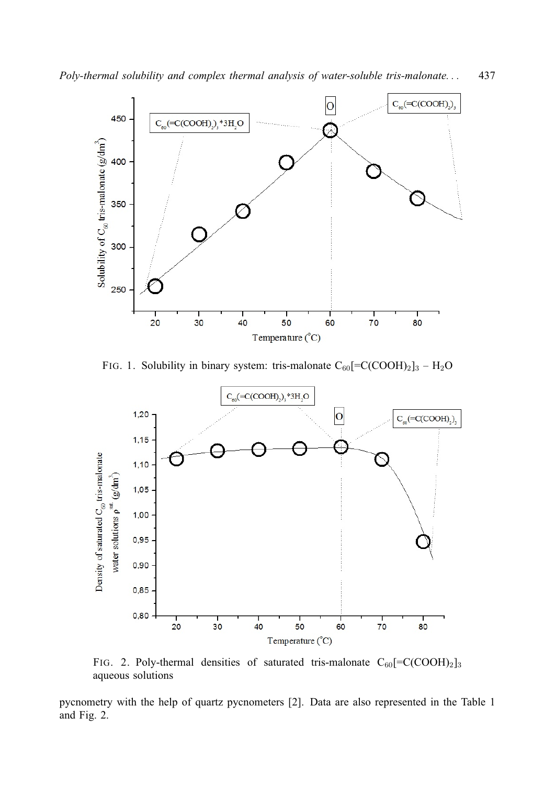*Poly-thermal solubility and complex thermal analysis of water-soluble tris-malonate. . .* 437



FIG. 1. Solubility in binary system: tris-malonate  $C_{60}$ [=C(COOH)<sub>2</sub>]<sub>3</sub> – H<sub>2</sub>O



FIG. 2. Poly-thermal densities of saturated tris-malonate  $C_{60}$ [=C(COOH)<sub>2</sub>]<sub>3</sub> aqueous solutions

pycnometry with the help of quartz pycnometers [2]. Data are also represented in the Table 1 and Fig. 2.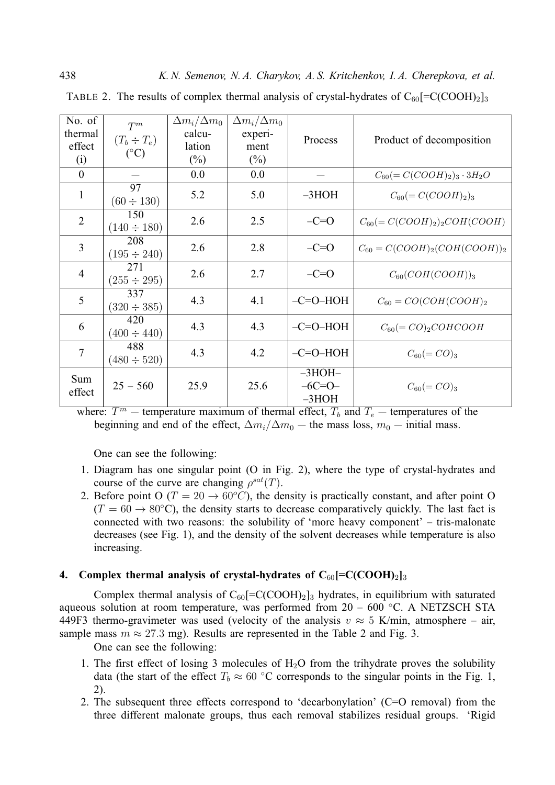| No. of         | $T^m$                              | $\Delta m_i/\Delta m_0$ | $\Delta m_i/\Delta m_0$ |            |                                      |
|----------------|------------------------------------|-------------------------|-------------------------|------------|--------------------------------------|
| thermal        | $(T_b \div T_e)$                   | calcu-                  | experi-                 | Process    | Product of decomposition             |
| effect         | $({}^{\circ}C)$                    | lation                  | ment                    |            |                                      |
| (i)            |                                    | $(\%)$                  | $(\%)$                  |            |                                      |
| $\mathbf{0}$   |                                    | 0.0                     | 0.0                     |            | $C_{60} (= C(COOH)_2)_3 \cdot 3H_2O$ |
| $\mathbf{1}$   | $\overline{97}$<br>$(60 \div 130)$ | 5.2                     | 5.0                     | $-3HOH$    | $C_{60} (= C(COOH)_2)_3$             |
| $\overline{2}$ | 150<br>$(140 \div 180)$            | 2.6                     | 2.5                     | $-C=O$     | $C_{60} (= C(COOH)_2)_2 COH(COOH)$   |
| 3              | 208<br>$(195 \div 240)$            | 2.6                     | 2.8                     | $-C=O$     | $C_{60} = C(COOH)_2(COH(COOH))_2$    |
| $\overline{4}$ | 271<br>$(255 \div 295)$            | 2.6                     | 2.7                     | $-C=O$     | $C_{60}(COH(COOH))_3$                |
| 5              | 337<br>$(320 \div 385)$            | 4.3                     | 4.1                     | $-C=O-HOH$ | $C_{60} = CO(COH(COOH)_2$            |
| 6              | 420<br>$(400 \div 440)$            | 4.3                     | 4.3                     | $-C=O-HOH$ | $C_{60} (= CO)_2 COHCOOH$            |
| 7              | 488<br>$(480 \div 520)$            | 4.3                     | 4.2                     | $-C=O-HOH$ | $C_{60} (= CO)_{3}$                  |
| Sum            |                                    |                         |                         | $-3HOH-$   |                                      |
| effect         | $25 - 560$                         | 25.9                    | 25.6                    | $-6C=0-$   | $C_{60} (= CO)_{3}$                  |
|                |                                    |                         |                         | $-3HOH$    |                                      |

TABLE 2. The results of complex thermal analysis of crystal-hydrates of  $C_{60}$ [=C(COOH)<sub>2</sub>]<sub>3</sub>

where:  $T^m$  – temperature maximum of thermal effect,  $T_b$  and  $T_e$  – temperatures of the beginning and end of the effect,  $\Delta m_i/\Delta m_0$  — the mass loss,  $m_0$  — initial mass.

One can see the following:

- 1. Diagram has one singular point (O in Fig. 2), where the type of crystal-hydrates and course of the curve are changing  $\rho^{sat}(T)$ .
- 2. Before point O ( $T = 20 \rightarrow 60^{\circ}C$ ), the density is practically constant, and after point O  $(T = 60 \rightarrow 80^{\circ}C)$ , the density starts to decrease comparatively quickly. The last fact is connected with two reasons: the solubility of 'more heavy component' – tris-malonate decreases (see Fig. 1), and the density of the solvent decreases while temperature is also increasing.

# **4.** Complex thermal analysis of crystal-hydrates of  $C_{60}$ [=C(COOH)<sub>2</sub>]<sub>3</sub>

Complex thermal analysis of  $C_{60}$ [=C(COOH)<sub>2</sub>]<sub>3</sub> hydrates, in equilibrium with saturated aqueous solution at room temperature, was performed from  $20 - 600$  °C. A NETZSCH STA 449F3 thermo-gravimeter was used (velocity of the analysis  $v \approx 5$  K/min, atmosphere – air, sample mass  $m \approx 27.3$  mg). Results are represented in the Table 2 and Fig. 3.

One can see the following:

- 1. The first effect of losing 3 molecules of  $H_2O$  from the trihydrate proves the solubility data (the start of the effect  $T_b \approx 60$  °C corresponds to the singular points in the Fig. 1, 2).
- 2. The subsequent three effects correspond to 'decarbonylation' (C=O removal) from the three different malonate groups, thus each removal stabilizes residual groups. 'Rigid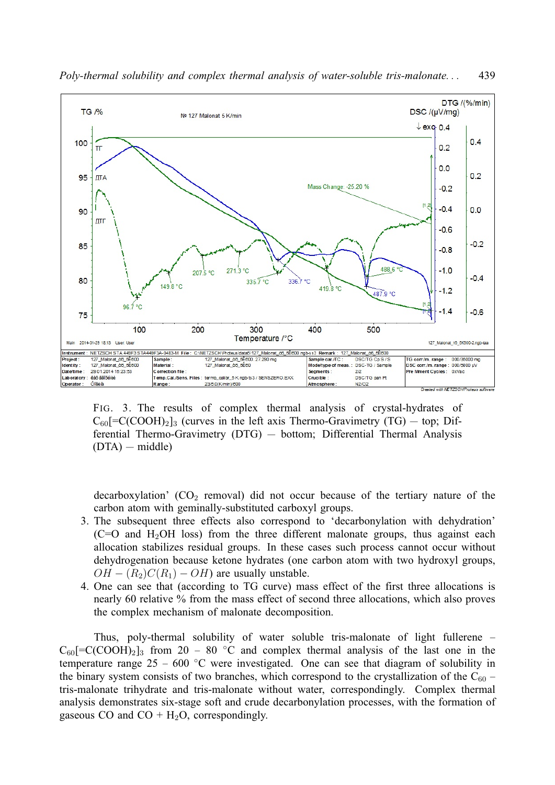

*Poly-thermal solubility and complex thermal analysis of water-soluble tris-malonate. . .* 439

FIG. 3. The results of complex thermal analysis of crystal-hydrates of  $C_{60}$ [=C(COOH)<sub>2</sub>]<sub>3</sub> (curves in the left axis Thermo-Gravimetry (TG) – top; Differential Thermo-Gravimetry (DTG) — bottom; Differential Thermal Analysis (DTA) — middle)

decarboxylation'  $(CO_2$  removal) did not occur because of the tertiary nature of the carbon atom with geminally-substituted carboxyl groups.

- 3. The subsequent three effects also correspond to 'decarbonylation with dehydration'  $(C=O)$  and H<sub>2</sub>OH loss) from the three different malonate groups, thus against each allocation stabilizes residual groups. In these cases such process cannot occur without dehydrogenation because ketone hydrates (one carbon atom with two hydroxyl groups,  $OH - (R_2)C(R_1) - OH$  are usually unstable.
- 4. One can see that (according to TG curve) mass effect of the first three allocations is nearly 60 relative % from the mass effect of second three allocations, which also proves the complex mechanism of malonate decomposition.

Thus, poly-thermal solubility of water soluble tris-malonate of light fullerene –  $C_{60}$ [=C(COOH)<sub>2</sub>]<sub>3</sub> from 20 – 80 °C and complex thermal analysis of the last one in the temperature range  $25 - 600$  °C were investigated. One can see that diagram of solubility in the binary system consists of two branches, which correspond to the crystallization of the  $C_{60}$  – tris-malonate trihydrate and tris-malonate without water, correspondingly. Complex thermal analysis demonstrates six-stage soft and crude decarbonylation processes, with the formation of gaseous CO and  $CO + H<sub>2</sub>O$ , correspondingly.